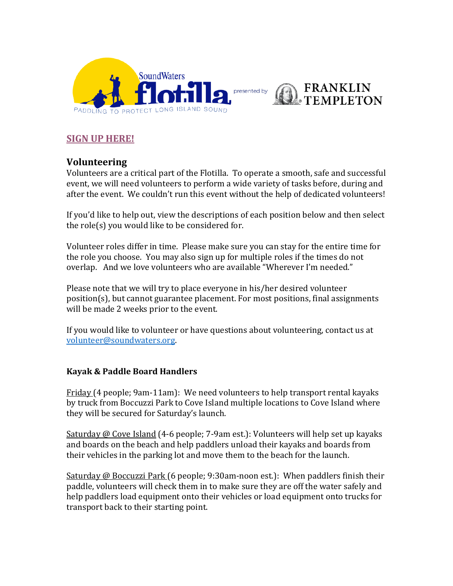

# **[SIGN UP HERE!](https://www.signupgenius.com/go/10C0E48A8A722ABFDC16-flotilla)**

# **Volunteering**

Volunteers are a critical part of the Flotilla. To operate a smooth, safe and successful event, we will need volunteers to perform a wide variety of tasks before, during and after the event. We couldn't run this event without the help of dedicated volunteers!

If you'd like to help out, view the descriptions of each position below and then select the role(s) you would like to be considered for.

Volunteer roles differ in time. Please make sure you can stay for the entire time for the role you choose. You may also sign up for multiple roles if the times do not overlap. And we love volunteers who are available "Wherever I'm needed."

Please note that we will try to place everyone in his/her desired volunteer position(s), but cannot guarantee placement. For most positions, final assignments will be made 2 weeks prior to the event.

If you would like to volunteer or have questions about volunteering, contact us at [volunteer@soundwaters.org.](mailto:volunteer@soundwaters.org)

## **Kayak & Paddle Board Handlers**

Friday (4 people; 9am-11am): We need volunteers to help transport rental kayaks by truck from Boccuzzi Park to Cove Island multiple locations to Cove Island where they will be secured for Saturday's launch.

Saturday @ Cove Island (4-6 people; 7-9am est.): Volunteers will help set up kayaks and boards on the beach and help paddlers unload their kayaks and boards from their vehicles in the parking lot and move them to the beach for the launch.

Saturday @ Boccuzzi Park (6 people; 9:30am-noon est.): When paddlers finish their paddle, volunteers will check them in to make sure they are off the water safely and help paddlers load equipment onto their vehicles or load equipment onto trucks for transport back to their starting point.